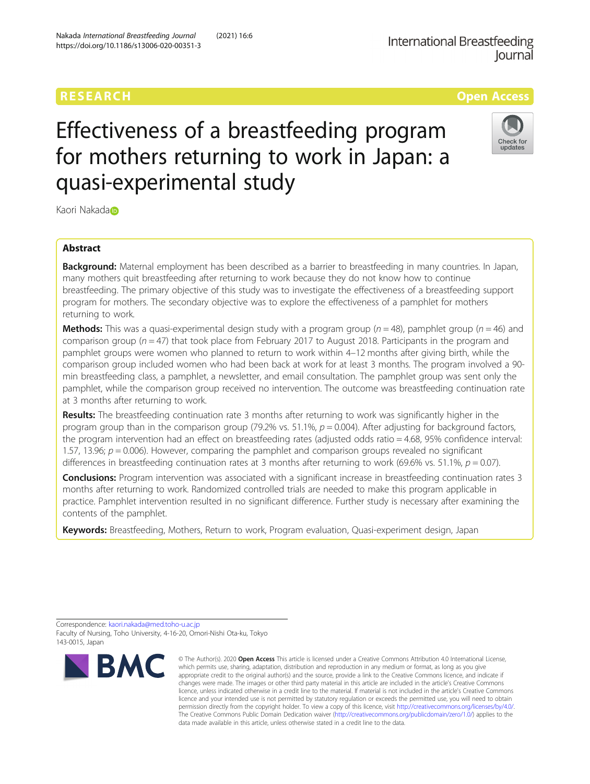# RESEARCH **RESEARCH CONSUMING THE CONSUMING THE CONSUMING THE CONSUMING TENS**



# Effectiveness of a breastfeeding program for mothers returning to work in Japan: a quasi-experimental study

K[a](http://orcid.org/0000-0003-0584-4619)ori Nakada<sup>n</sup>

# Abstract

**Background:** Maternal employment has been described as a barrier to breastfeeding in many countries. In Japan, many mothers quit breastfeeding after returning to work because they do not know how to continue breastfeeding. The primary objective of this study was to investigate the effectiveness of a breastfeeding support program for mothers. The secondary objective was to explore the effectiveness of a pamphlet for mothers returning to work.

**Methods:** This was a quasi-experimental design study with a program group ( $n = 48$ ), pamphlet group ( $n = 46$ ) and comparison group ( $n = 47$ ) that took place from February 2017 to August 2018. Participants in the program and pamphlet groups were women who planned to return to work within 4–12 months after giving birth, while the comparison group included women who had been back at work for at least 3 months. The program involved a 90 min breastfeeding class, a pamphlet, a newsletter, and email consultation. The pamphlet group was sent only the pamphlet, while the comparison group received no intervention. The outcome was breastfeeding continuation rate at 3 months after returning to work.

Results: The breastfeeding continuation rate 3 months after returning to work was significantly higher in the program group than in the comparison group (79.2% vs. 51.1%,  $p = 0.004$ ). After adjusting for background factors, the program intervention had an effect on breastfeeding rates (adjusted odds ratio = 4.68, 95% confidence interval: 1.57, 13.96;  $p = 0.006$ ). However, comparing the pamphlet and comparison groups revealed no significant differences in breastfeeding continuation rates at 3 months after returning to work (69.6% vs. 51.1%,  $p = 0.07$ ).

**Conclusions:** Program intervention was associated with a significant increase in breastfeeding continuation rates 3 months after returning to work. Randomized controlled trials are needed to make this program applicable in practice. Pamphlet intervention resulted in no significant difference. Further study is necessary after examining the contents of the pamphlet.

Keywords: Breastfeeding, Mothers, Return to work, Program evaluation, Quasi-experiment design, Japan

Correspondence: [kaori.nakada@med.toho-u.ac.jp](mailto:kaori.nakada@med.toho-u.ac.jp) Faculty of Nursing, Toho University, 4-16-20, Omori-Nishi Ota-ku, Tokyo 143-0015, Japan



<sup>©</sup> The Author(s), 2020 **Open Access** This article is licensed under a Creative Commons Attribution 4.0 International License, which permits use, sharing, adaptation, distribution and reproduction in any medium or format, as long as you give appropriate credit to the original author(s) and the source, provide a link to the Creative Commons licence, and indicate if changes were made. The images or other third party material in this article are included in the article's Creative Commons licence, unless indicated otherwise in a credit line to the material. If material is not included in the article's Creative Commons licence and your intended use is not permitted by statutory regulation or exceeds the permitted use, you will need to obtain permission directly from the copyright holder. To view a copy of this licence, visit [http://creativecommons.org/licenses/by/4.0/.](http://creativecommons.org/licenses/by/4.0/) The Creative Commons Public Domain Dedication waiver [\(http://creativecommons.org/publicdomain/zero/1.0/](http://creativecommons.org/publicdomain/zero/1.0/)) applies to the data made available in this article, unless otherwise stated in a credit line to the data.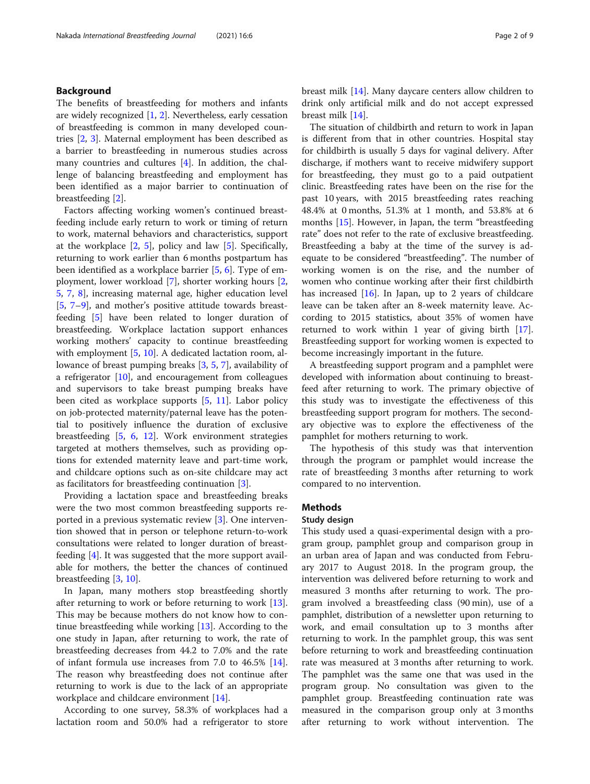#### Background

The benefits of breastfeeding for mothers and infants are widely recognized [\[1](#page-8-0), [2](#page-8-0)]. Nevertheless, early cessation of breastfeeding is common in many developed countries [[2,](#page-8-0) [3](#page-8-0)]. Maternal employment has been described as a barrier to breastfeeding in numerous studies across many countries and cultures [\[4](#page-8-0)]. In addition, the challenge of balancing breastfeeding and employment has been identified as a major barrier to continuation of breastfeeding [[2\]](#page-8-0).

Factors affecting working women's continued breastfeeding include early return to work or timing of return to work, maternal behaviors and characteristics, support at the workplace [\[2](#page-8-0), [5](#page-8-0)], policy and law [[5\]](#page-8-0). Specifically, returning to work earlier than 6 months postpartum has been identified as a workplace barrier [[5,](#page-8-0) [6\]](#page-8-0). Type of employment, lower workload [\[7\]](#page-8-0), shorter working hours [\[2](#page-8-0), [5,](#page-8-0) [7,](#page-8-0) [8\]](#page-8-0), increasing maternal age, higher education level [[5,](#page-8-0) [7](#page-8-0)–[9\]](#page-8-0), and mother's positive attitude towards breastfeeding [[5\]](#page-8-0) have been related to longer duration of breastfeeding. Workplace lactation support enhances working mothers' capacity to continue breastfeeding with employment [[5,](#page-8-0) [10\]](#page-8-0). A dedicated lactation room, allowance of breast pumping breaks [\[3](#page-8-0), [5](#page-8-0), [7](#page-8-0)], availability of a refrigerator [\[10\]](#page-8-0), and encouragement from colleagues and supervisors to take breast pumping breaks have been cited as workplace supports [[5,](#page-8-0) [11](#page-8-0)]. Labor policy on job-protected maternity/paternal leave has the potential to positively influence the duration of exclusive breastfeeding [[5](#page-8-0), [6](#page-8-0), [12\]](#page-8-0). Work environment strategies targeted at mothers themselves, such as providing options for extended maternity leave and part-time work, and childcare options such as on-site childcare may act as facilitators for breastfeeding continuation [\[3](#page-8-0)].

Providing a lactation space and breastfeeding breaks were the two most common breastfeeding supports reported in a previous systematic review [[3\]](#page-8-0). One intervention showed that in person or telephone return-to-work consultations were related to longer duration of breastfeeding [\[4](#page-8-0)]. It was suggested that the more support available for mothers, the better the chances of continued breastfeeding [[3,](#page-8-0) [10\]](#page-8-0).

In Japan, many mothers stop breastfeeding shortly after returning to work or before returning to work [\[13](#page-8-0)]. This may be because mothers do not know how to continue breastfeeding while working [\[13](#page-8-0)]. According to the one study in Japan, after returning to work, the rate of breastfeeding decreases from 44.2 to 7.0% and the rate of infant formula use increases from 7.0 to  $46.5\%$  [\[14](#page-8-0)]. The reason why breastfeeding does not continue after returning to work is due to the lack of an appropriate workplace and childcare environment [\[14](#page-8-0)].

According to one survey, 58.3% of workplaces had a lactation room and 50.0% had a refrigerator to store breast milk [\[14\]](#page-8-0). Many daycare centers allow children to drink only artificial milk and do not accept expressed breast milk [[14](#page-8-0)].

The situation of childbirth and return to work in Japan is different from that in other countries. Hospital stay for childbirth is usually 5 days for vaginal delivery. After discharge, if mothers want to receive midwifery support for breastfeeding, they must go to a paid outpatient clinic. Breastfeeding rates have been on the rise for the past 10 years, with 2015 breastfeeding rates reaching 48.4% at 0 months, 51.3% at 1 month, and 53.8% at 6 months [\[15](#page-8-0)]. However, in Japan, the term "breastfeeding rate" does not refer to the rate of exclusive breastfeeding. Breastfeeding a baby at the time of the survey is adequate to be considered "breastfeeding". The number of working women is on the rise, and the number of women who continue working after their first childbirth has increased [[16\]](#page-8-0). In Japan, up to 2 years of childcare leave can be taken after an 8-week maternity leave. According to 2015 statistics, about 35% of women have returned to work within 1 year of giving birth [\[17](#page-8-0)]. Breastfeeding support for working women is expected to become increasingly important in the future.

A breastfeeding support program and a pamphlet were developed with information about continuing to breastfeed after returning to work. The primary objective of this study was to investigate the effectiveness of this breastfeeding support program for mothers. The secondary objective was to explore the effectiveness of the pamphlet for mothers returning to work.

The hypothesis of this study was that intervention through the program or pamphlet would increase the rate of breastfeeding 3 months after returning to work compared to no intervention.

#### **Methods**

#### Study design

This study used a quasi-experimental design with a program group, pamphlet group and comparison group in an urban area of Japan and was conducted from February 2017 to August 2018. In the program group, the intervention was delivered before returning to work and measured 3 months after returning to work. The program involved a breastfeeding class (90 min), use of a pamphlet, distribution of a newsletter upon returning to work, and email consultation up to 3 months after returning to work. In the pamphlet group, this was sent before returning to work and breastfeeding continuation rate was measured at 3 months after returning to work. The pamphlet was the same one that was used in the program group. No consultation was given to the pamphlet group. Breastfeeding continuation rate was measured in the comparison group only at 3 months after returning to work without intervention. The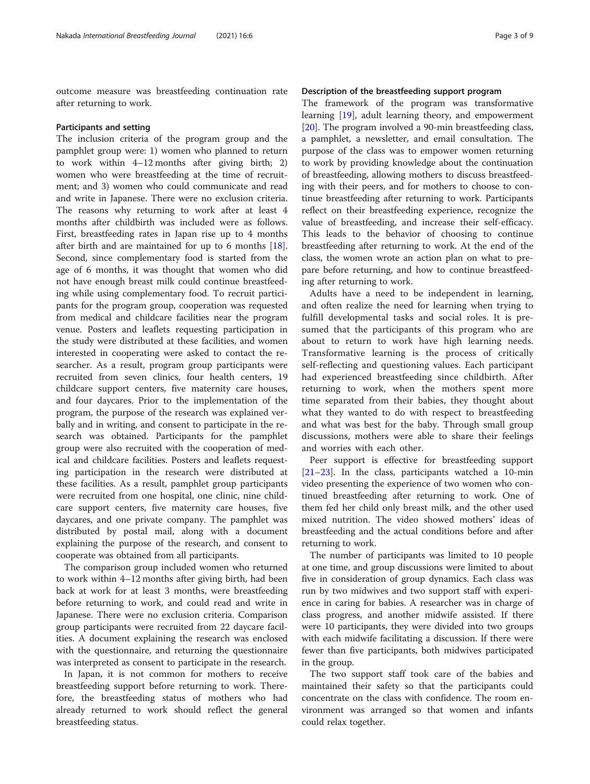outcome measure was breastfeeding continuation rate after returning to work.

#### Participants and setting

The inclusion criteria of the program group and the pamphlet group were: 1) women who planned to return to work within 4–12 months after giving birth; 2) women who were breastfeeding at the time of recruitment; and 3) women who could communicate and read and write in Japanese. There were no exclusion criteria. The reasons why returning to work after at least 4 months after childbirth was included were as follows. First, breastfeeding rates in Japan rise up to 4 months after birth and are maintained for up to 6 months [\[18](#page-8-0)]. Second, since complementary food is started from the age of 6 months, it was thought that women who did not have enough breast milk could continue breastfeeding while using complementary food. To recruit participants for the program group, cooperation was requested from medical and childcare facilities near the program venue. Posters and leaflets requesting participation in the study were distributed at these facilities, and women interested in cooperating were asked to contact the researcher. As a result, program group participants were recruited from seven clinics, four health centers, 19 childcare support centers, five maternity care houses, and four daycares. Prior to the implementation of the program, the purpose of the research was explained verbally and in writing, and consent to participate in the research was obtained. Participants for the pamphlet group were also recruited with the cooperation of medical and childcare facilities. Posters and leaflets requesting participation in the research were distributed at these facilities. As a result, pamphlet group participants were recruited from one hospital, one clinic, nine childcare support centers, five maternity care houses, five daycares, and one private company. The pamphlet was distributed by postal mail, along with a document explaining the purpose of the research, and consent to cooperate was obtained from all participants.

The comparison group included women who returned to work within 4–12 months after giving birth, had been back at work for at least 3 months, were breastfeeding before returning to work, and could read and write in Japanese. There were no exclusion criteria. Comparison group participants were recruited from 22 daycare facilities. A document explaining the research was enclosed with the questionnaire, and returning the questionnaire was interpreted as consent to participate in the research.

In Japan, it is not common for mothers to receive breastfeeding support before returning to work. Therefore, the breastfeeding status of mothers who had already returned to work should reflect the general breastfeeding status.

#### Description of the breastfeeding support program

The framework of the program was transformative learning [\[19](#page-8-0)], adult learning theory, and empowerment [[20\]](#page-8-0). The program involved a 90-min breastfeeding class, a pamphlet, a newsletter, and email consultation. The purpose of the class was to empower women returning to work by providing knowledge about the continuation of breastfeeding, allowing mothers to discuss breastfeeding with their peers, and for mothers to choose to continue breastfeeding after returning to work. Participants reflect on their breastfeeding experience, recognize the value of breastfeeding, and increase their self-efficacy. This leads to the behavior of choosing to continue breastfeeding after returning to work. At the end of the class, the women wrote an action plan on what to prepare before returning, and how to continue breastfeeding after returning to work.

Adults have a need to be independent in learning, and often realize the need for learning when trying to fulfill developmental tasks and social roles. It is presumed that the participants of this program who are about to return to work have high learning needs. Transformative learning is the process of critically self-reflecting and questioning values. Each participant had experienced breastfeeding since childbirth. After returning to work, when the mothers spent more time separated from their babies, they thought about what they wanted to do with respect to breastfeeding and what was best for the baby. Through small group discussions, mothers were able to share their feelings and worries with each other.

Peer support is effective for breastfeeding support [[21](#page-8-0)–[23](#page-8-0)]. In the class, participants watched a 10-min video presenting the experience of two women who continued breastfeeding after returning to work. One of them fed her child only breast milk, and the other used mixed nutrition. The video showed mothers' ideas of breastfeeding and the actual conditions before and after returning to work.

The number of participants was limited to 10 people at one time, and group discussions were limited to about five in consideration of group dynamics. Each class was run by two midwives and two support staff with experience in caring for babies. A researcher was in charge of class progress, and another midwife assisted. If there were 10 participants, they were divided into two groups with each midwife facilitating a discussion. If there were fewer than five participants, both midwives participated in the group.

The two support staff took care of the babies and maintained their safety so that the participants could concentrate on the class with confidence. The room environment was arranged so that women and infants could relax together.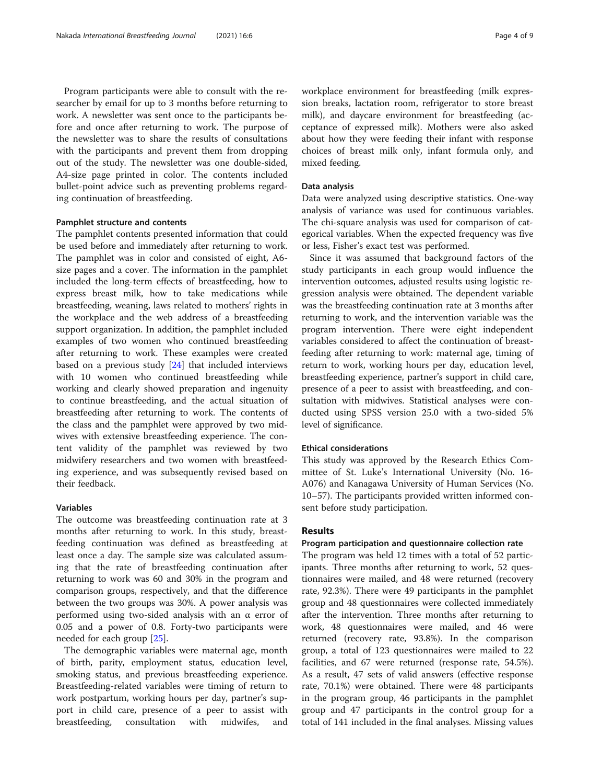Program participants were able to consult with the researcher by email for up to 3 months before returning to work. A newsletter was sent once to the participants before and once after returning to work. The purpose of the newsletter was to share the results of consultations with the participants and prevent them from dropping out of the study. The newsletter was one double-sided, A4-size page printed in color. The contents included bullet-point advice such as preventing problems regarding continuation of breastfeeding.

#### Pamphlet structure and contents

The pamphlet contents presented information that could be used before and immediately after returning to work. The pamphlet was in color and consisted of eight, A6 size pages and a cover. The information in the pamphlet included the long-term effects of breastfeeding, how to express breast milk, how to take medications while breastfeeding, weaning, laws related to mothers' rights in the workplace and the web address of a breastfeeding support organization. In addition, the pamphlet included examples of two women who continued breastfeeding after returning to work. These examples were created based on a previous study [\[24](#page-8-0)] that included interviews with 10 women who continued breastfeeding while working and clearly showed preparation and ingenuity to continue breastfeeding, and the actual situation of breastfeeding after returning to work. The contents of the class and the pamphlet were approved by two midwives with extensive breastfeeding experience. The content validity of the pamphlet was reviewed by two midwifery researchers and two women with breastfeeding experience, and was subsequently revised based on their feedback.

### Variables

The outcome was breastfeeding continuation rate at 3 months after returning to work. In this study, breastfeeding continuation was defined as breastfeeding at least once a day. The sample size was calculated assuming that the rate of breastfeeding continuation after returning to work was 60 and 30% in the program and comparison groups, respectively, and that the difference between the two groups was 30%. A power analysis was performed using two-sided analysis with an α error of 0.05 and a power of 0.8. Forty-two participants were needed for each group [[25\]](#page-8-0).

The demographic variables were maternal age, month of birth, parity, employment status, education level, smoking status, and previous breastfeeding experience. Breastfeeding-related variables were timing of return to work postpartum, working hours per day, partner's support in child care, presence of a peer to assist with breastfeeding, consultation with midwifes, and workplace environment for breastfeeding (milk expression breaks, lactation room, refrigerator to store breast milk), and daycare environment for breastfeeding (acceptance of expressed milk). Mothers were also asked about how they were feeding their infant with response choices of breast milk only, infant formula only, and mixed feeding.

#### Data analysis

Data were analyzed using descriptive statistics. One-way analysis of variance was used for continuous variables. The chi-square analysis was used for comparison of categorical variables. When the expected frequency was five or less, Fisher's exact test was performed.

Since it was assumed that background factors of the study participants in each group would influence the intervention outcomes, adjusted results using logistic regression analysis were obtained. The dependent variable was the breastfeeding continuation rate at 3 months after returning to work, and the intervention variable was the program intervention. There were eight independent variables considered to affect the continuation of breastfeeding after returning to work: maternal age, timing of return to work, working hours per day, education level, breastfeeding experience, partner's support in child care, presence of a peer to assist with breastfeeding, and consultation with midwives. Statistical analyses were conducted using SPSS version 25.0 with a two-sided 5% level of significance.

#### Ethical considerations

This study was approved by the Research Ethics Committee of St. Luke's International University (No. 16- A076) and Kanagawa University of Human Services (No. 10–57). The participants provided written informed consent before study participation.

#### Results

#### Program participation and questionnaire collection rate

The program was held 12 times with a total of 52 participants. Three months after returning to work, 52 questionnaires were mailed, and 48 were returned (recovery rate, 92.3%). There were 49 participants in the pamphlet group and 48 questionnaires were collected immediately after the intervention. Three months after returning to work, 48 questionnaires were mailed, and 46 were returned (recovery rate, 93.8%). In the comparison group, a total of 123 questionnaires were mailed to 22 facilities, and 67 were returned (response rate, 54.5%). As a result, 47 sets of valid answers (effective response rate, 70.1%) were obtained. There were 48 participants in the program group, 46 participants in the pamphlet group and 47 participants in the control group for a total of 141 included in the final analyses. Missing values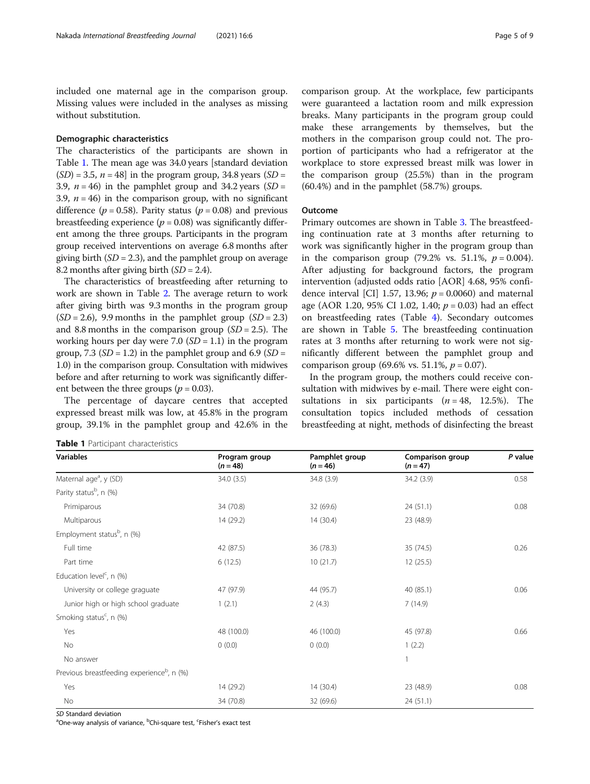included one maternal age in the comparison group. Missing values were included in the analyses as missing without substitution.

#### Demographic characteristics

The characteristics of the participants are shown in Table 1. The mean age was 34.0 years [standard deviation  $(SD) = 3.5$ ,  $n = 48$ ] in the program group, 34.8 years  $(SD =$ 3.9,  $n = 46$ ) in the pamphlet group and 34.2 years (SD = 3.9,  $n = 46$ ) in the comparison group, with no significant difference ( $p = 0.58$ ). Parity status ( $p = 0.08$ ) and previous breastfeeding experience ( $p = 0.08$ ) was significantly different among the three groups. Participants in the program group received interventions on average 6.8 months after giving birth  $(SD = 2.3)$ , and the pamphlet group on average 8.2 months after giving birth  $(SD = 2.4)$ .

The characteristics of breastfeeding after returning to work are shown in Table [2.](#page-5-0) The average return to work after giving birth was 9.3 months in the program group  $(SD = 2.6)$ , 9.9 months in the pamphlet group  $(SD = 2.3)$ and 8.8 months in the comparison group  $(SD = 2.5)$ . The working hours per day were 7.0  $(SD = 1.1)$  in the program group, 7.3 ( $SD = 1.2$ ) in the pamphlet group and 6.9 ( $SD =$ 1.0) in the comparison group. Consultation with midwives before and after returning to work was significantly different between the three groups ( $p = 0.03$ ).

The percentage of daycare centres that accepted expressed breast milk was low, at 45.8% in the program group, 39.1% in the pamphlet group and 42.6% in the

|  |  | <b>Table 1</b> Participant characteristics |
|--|--|--------------------------------------------|
|--|--|--------------------------------------------|

comparison group. At the workplace, few participants were guaranteed a lactation room and milk expression breaks. Many participants in the program group could make these arrangements by themselves, but the mothers in the comparison group could not. The proportion of participants who had a refrigerator at the workplace to store expressed breast milk was lower in the comparison group (25.5%) than in the program (60.4%) and in the pamphlet (58.7%) groups.

#### Outcome

Primary outcomes are shown in Table [3](#page-5-0). The breastfeeding continuation rate at 3 months after returning to work was significantly higher in the program group than in the comparison group (79.2% vs. 51.1%,  $p = 0.004$ ). After adjusting for background factors, the program intervention (adjusted odds ratio [AOR] 4.68, 95% confidence interval [CI] 1.57, 13.96;  $p = 0.0060$ ) and maternal age (AOR 1.20, 95% CI 1.02, 1.40;  $p = 0.03$ ) had an effect on breastfeeding rates (Table [4](#page-6-0)). Secondary outcomes are shown in Table [5](#page-6-0). The breastfeeding continuation rates at 3 months after returning to work were not significantly different between the pamphlet group and comparison group (69.6% vs. 51.1%,  $p = 0.07$ ).

In the program group, the mothers could receive consultation with midwives by e-mail. There were eight consultations in six participants  $(n = 48, 12.5\%)$ . The consultation topics included methods of cessation breastfeeding at night, methods of disinfecting the breast

| <b>Variables</b>                                       | Program group<br>$(n=48)$ | Pamphlet group<br>$(n = 46)$ | <b>Comparison group</b><br>$(n = 47)$ | P value |
|--------------------------------------------------------|---------------------------|------------------------------|---------------------------------------|---------|
| Maternal age <sup>a</sup> , y (SD)                     | 34.0 (3.5)                | 34.8 (3.9)                   | 34.2 (3.9)                            | 0.58    |
| Parity status <sup>b</sup> , n (%)                     |                           |                              |                                       |         |
| Primiparous                                            | 34 (70.8)                 | 32 (69.6)                    | 24(51.1)                              | 0.08    |
| Multiparous                                            | 14 (29.2)                 | 14(30.4)                     | 23 (48.9)                             |         |
| Employment status <sup>b</sup> , n (%)                 |                           |                              |                                       |         |
| Full time                                              | 42 (87.5)                 | 36 (78.3)                    | 35 (74.5)                             | 0.26    |
| Part time                                              | 6(12.5)                   | 10(21.7)                     | 12(25.5)                              |         |
| Education level <sup>c</sup> , $n$ (%)                 |                           |                              |                                       |         |
| University or college graguate                         | 47 (97.9)                 | 44 (95.7)                    | 40 (85.1)                             | 0.06    |
| Junior high or high school graduate                    | 1(2.1)                    | 2(4.3)                       | 7(14.9)                               |         |
| Smoking status <sup>c</sup> , n $(\%)$                 |                           |                              |                                       |         |
| Yes                                                    | 48 (100.0)                | 46 (100.0)                   | 45 (97.8)                             | 0.66    |
| No                                                     | 0(0.0)                    | 0(0.0)                       | 1(2.2)                                |         |
| No answer                                              |                           |                              |                                       |         |
| Previous breastfeeding experience <sup>b</sup> , n (%) |                           |                              |                                       |         |
| Yes                                                    | 14 (29.2)                 | 14(30.4)                     | 23 (48.9)                             | 0.08    |
| <b>No</b>                                              | 34 (70.8)                 | 32 (69.6)                    | 24(51.1)                              |         |

SD Standard deviation<br><sup>a</sup>One-way analysis of variance, <sup>b</sup>Chi-square test, <sup>c</sup>Fisher's exact test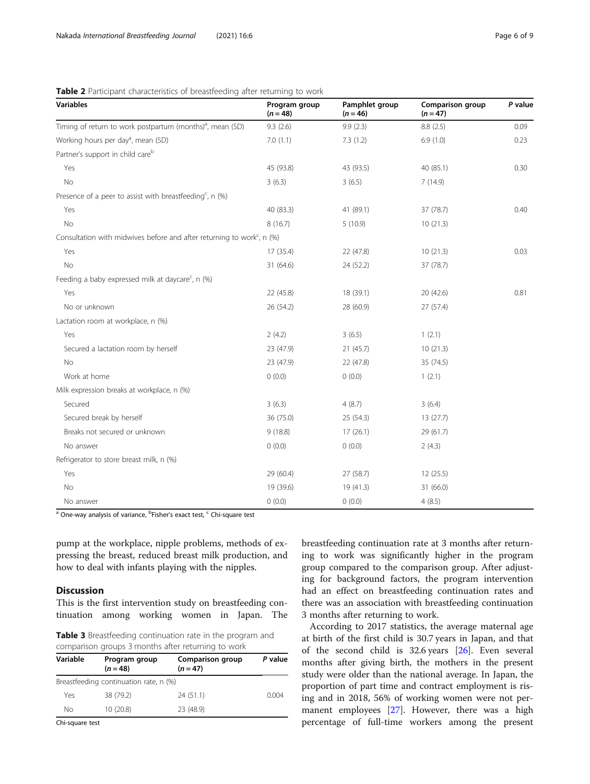| <b>Variables</b>                                                                      | Program group<br>$(n = 48)$ | Pamphlet group<br>$(n = 46)$ | Comparison group<br>$(n = 47)$ | P value |
|---------------------------------------------------------------------------------------|-----------------------------|------------------------------|--------------------------------|---------|
| Timing of return to work postpartum (months) <sup>a</sup> , mean (SD)                 | 9.3(2.6)                    | 9.9(2.3)                     | 8.8(2.5)                       | 0.09    |
| Working hours per day <sup>a</sup> , mean (SD)                                        | 7.0(1.1)                    | 7.3(1.2)                     | 6.9(1.0)                       | 0.23    |
| Partner's support in child care <sup>b</sup>                                          |                             |                              |                                |         |
| Yes                                                                                   | 45 (93.8)                   | 43 (93.5)                    | 40 (85.1)                      | 0.30    |
| No                                                                                    | 3(6.3)                      | 3(6.5)                       | 7(14.9)                        |         |
| Presence of a peer to assist with breastfeeding <sup>c</sup> , n $(\%)$               |                             |                              |                                |         |
| Yes                                                                                   | 40 (83.3)                   | 41 (89.1)                    | 37 (78.7)                      | 0.40    |
| No                                                                                    | 8(16.7)                     | 5(10.9)                      | 10(21.3)                       |         |
| Consultation with midwives before and after returning to work <sup>c</sup> , n $(\%)$ |                             |                              |                                |         |
| Yes                                                                                   | 17 (35.4)                   | 22 (47.8)                    | 10(21.3)                       | 0.03    |
| No                                                                                    | 31 (64.6)                   | 24 (52.2)                    | 37 (78.7)                      |         |
| Feeding a baby expressed milk at daycare <sup>c</sup> , n (%)                         |                             |                              |                                |         |
| Yes                                                                                   | 22 (45.8)                   | 18 (39.1)                    | 20(42.6)                       | 0.81    |
| No or unknown                                                                         | 26 (54.2)                   | 28 (60.9)                    | 27 (57.4)                      |         |
| Lactation room at workplace, n (%)                                                    |                             |                              |                                |         |
| Yes                                                                                   | 2(4.2)                      | 3(6.5)                       | 1(2.1)                         |         |
| Secured a lactation room by herself                                                   | 23 (47.9)                   | 21(45.7)                     | 10(21.3)                       |         |
| No                                                                                    | 23 (47.9)                   | 22 (47.8)                    | 35 (74.5)                      |         |
| Work at home                                                                          | 0(0.0)                      | 0(0.0)                       | 1(2.1)                         |         |
| Milk expression breaks at workplace, n (%)                                            |                             |                              |                                |         |
| Secured                                                                               | 3(6.3)                      | 4(8.7)                       | 3(6.4)                         |         |
| Secured break by herself                                                              | 36 (75.0)                   | 25(54.3)                     | 13(27.7)                       |         |
| Breaks not secured or unknown                                                         | 9(18.8)                     | 17(26.1)                     | 29 (61.7)                      |         |
| No answer                                                                             | 0(0.0)                      | 0(0.0)                       | 2(4.3)                         |         |
| Refrigerator to store breast milk, n (%)                                              |                             |                              |                                |         |
| Yes                                                                                   | 29 (60.4)                   | 27(58.7)                     | 12(25.5)                       |         |
| <b>No</b>                                                                             | 19 (39.6)                   | 19(41.3)                     | 31 (66.0)                      |         |
| No answer                                                                             | 0(0.0)                      | 0(0.0)                       | 4(8.5)                         |         |

<span id="page-5-0"></span>Table 2 Participant characteristics of breastfeeding after returning to work

<sup>a</sup> One-way analysis of variance, <sup>b</sup>Fisher's exact test, <sup>c</sup> Chi-square test

pump at the workplace, nipple problems, methods of expressing the breast, reduced breast milk production, and how to deal with infants playing with the nipples.

#### **Discussion**

This is the first intervention study on breastfeeding continuation among working women in Japan. The

Table 3 Breastfeeding continuation rate in the program and comparison groups 3 months after returning to work

| Variable | Program group<br>$(n = 48)$            | Comparison group<br>$(n = 47)$ | P value |
|----------|----------------------------------------|--------------------------------|---------|
|          | Breastfeeding continuation rate, n (%) |                                |         |
| Yes      | 38 (79.2)                              | 24(51.1)                       | 0.004   |
| Nο       | 10 (20.8)                              | 23 (48.9)                      |         |

Chi-square test

breastfeeding continuation rate at 3 months after returning to work was significantly higher in the program group compared to the comparison group. After adjusting for background factors, the program intervention had an effect on breastfeeding continuation rates and there was an association with breastfeeding continuation 3 months after returning to work.

According to 2017 statistics, the average maternal age at birth of the first child is 30.7 years in Japan, and that of the second child is  $32.6$  years  $[26]$  $[26]$  $[26]$ . Even several months after giving birth, the mothers in the present study were older than the national average. In Japan, the proportion of part time and contract employment is rising and in 2018, 56% of working women were not per-manent employees [\[27](#page-8-0)]. However, there was a high percentage of full-time workers among the present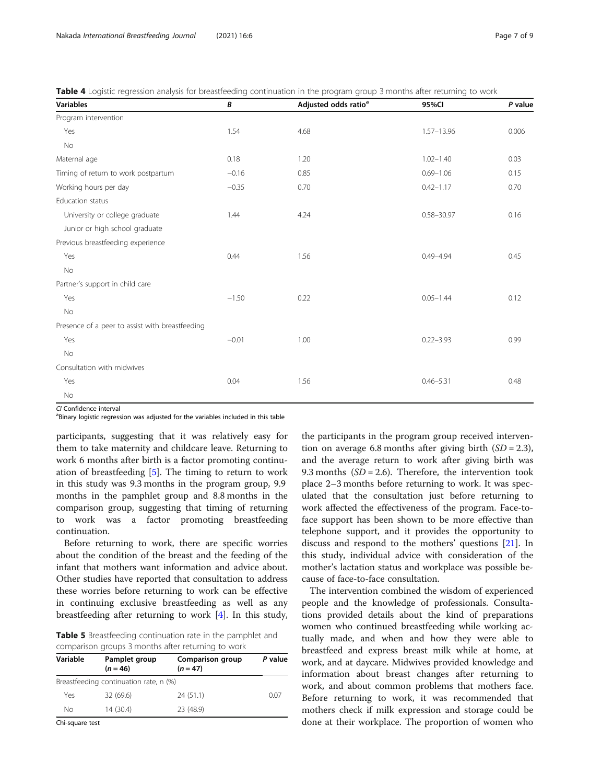<span id="page-6-0"></span>

|  |  | <b>Table 4</b> Logistic regression analysis for breastfeeding continuation in the program group 3 months after returning to work |  |  |
|--|--|----------------------------------------------------------------------------------------------------------------------------------|--|--|
|  |  |                                                                                                                                  |  |  |

| <b>Variables</b>                                | В       | Adjusted odds ratio <sup>a</sup> | 95%CI          | P value |
|-------------------------------------------------|---------|----------------------------------|----------------|---------|
| Program intervention                            |         |                                  |                |         |
| Yes                                             | 1.54    | 4.68                             | 1.57-13.96     | 0.006   |
| No                                              |         |                                  |                |         |
| Maternal age                                    | 0.18    | 1.20                             | $1.02 - 1.40$  | 0.03    |
| Timing of return to work postpartum             | $-0.16$ | 0.85                             | $0.69 - 1.06$  | 0.15    |
| Working hours per day                           | $-0.35$ | 0.70                             | $0.42 - 1.17$  | 0.70    |
| Education status                                |         |                                  |                |         |
| University or college graduate                  | 1.44    | 4.24                             | $0.58 - 30.97$ | 0.16    |
| Junior or high school graduate                  |         |                                  |                |         |
| Previous breastfeeding experience               |         |                                  |                |         |
| Yes                                             | 0.44    | 1.56                             | $0.49 - 4.94$  | 0.45    |
| No                                              |         |                                  |                |         |
| Partner's support in child care                 |         |                                  |                |         |
| Yes                                             | $-1.50$ | 0.22                             | $0.05 - 1.44$  | 0.12    |
| No                                              |         |                                  |                |         |
| Presence of a peer to assist with breastfeeding |         |                                  |                |         |
| Yes                                             | $-0.01$ | 1.00                             | $0.22 - 3.93$  | 0.99    |
| No                                              |         |                                  |                |         |
| Consultation with midwives                      |         |                                  |                |         |
| Yes                                             | 0.04    | 1.56                             | $0.46 - 5.31$  | 0.48    |
| No                                              |         |                                  |                |         |

CI Confidence interval

<sup>a</sup>Binary logistic regression was adjusted for the variables included in this table

participants, suggesting that it was relatively easy for them to take maternity and childcare leave. Returning to work 6 months after birth is a factor promoting continuation of breastfeeding [\[5](#page-8-0)]. The timing to return to work in this study was 9.3 months in the program group, 9.9 months in the pamphlet group and 8.8 months in the comparison group, suggesting that timing of returning to work was a factor promoting breastfeeding continuation.

Before returning to work, there are specific worries about the condition of the breast and the feeding of the infant that mothers want information and advice about. Other studies have reported that consultation to address these worries before returning to work can be effective in continuing exclusive breastfeeding as well as any breastfeeding after returning to work [\[4](#page-8-0)]. In this study,

Table 5 Breastfeeding continuation rate in the pamphlet and comparison groups 3 months after returning to work

| Variable | Pamplet group<br>Comparison group<br>$(n = 46)$<br>$(n = 47)$ |           | P value |
|----------|---------------------------------------------------------------|-----------|---------|
|          | Breastfeeding continuation rate, n (%)                        |           |         |
| Yes      | 32 (69.6)                                                     | 24(51.1)  | 0.07    |
| Nο       | 14 (30.4)                                                     | 23 (48.9) |         |

Chi-square test

the participants in the program group received intervention on average 6.8 months after giving birth  $(SD = 2.3)$ , and the average return to work after giving birth was 9.3 months  $(SD = 2.6)$ . Therefore, the intervention took place 2–3 months before returning to work. It was speculated that the consultation just before returning to work affected the effectiveness of the program. Face-toface support has been shown to be more effective than telephone support, and it provides the opportunity to discuss and respond to the mothers' questions [\[21](#page-8-0)]. In this study, individual advice with consideration of the mother's lactation status and workplace was possible because of face-to-face consultation.

The intervention combined the wisdom of experienced people and the knowledge of professionals. Consultations provided details about the kind of preparations women who continued breastfeeding while working actually made, and when and how they were able to breastfeed and express breast milk while at home, at work, and at daycare. Midwives provided knowledge and information about breast changes after returning to work, and about common problems that mothers face. Before returning to work, it was recommended that mothers check if milk expression and storage could be done at their workplace. The proportion of women who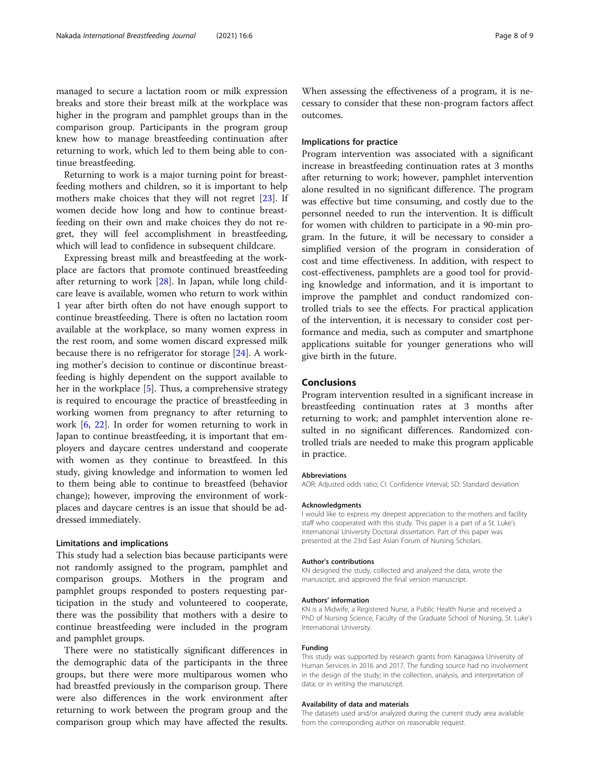managed to secure a lactation room or milk expression breaks and store their breast milk at the workplace was higher in the program and pamphlet groups than in the comparison group. Participants in the program group knew how to manage breastfeeding continuation after returning to work, which led to them being able to continue breastfeeding.

Returning to work is a major turning point for breastfeeding mothers and children, so it is important to help mothers make choices that they will not regret [\[23\]](#page-8-0). If women decide how long and how to continue breastfeeding on their own and make choices they do not regret, they will feel accomplishment in breastfeeding, which will lead to confidence in subsequent childcare.

Expressing breast milk and breastfeeding at the workplace are factors that promote continued breastfeeding after returning to work [\[28](#page-8-0)]. In Japan, while long childcare leave is available, women who return to work within 1 year after birth often do not have enough support to continue breastfeeding. There is often no lactation room available at the workplace, so many women express in the rest room, and some women discard expressed milk because there is no refrigerator for storage [\[24](#page-8-0)]. A working mother's decision to continue or discontinue breastfeeding is highly dependent on the support available to her in the workplace [[5\]](#page-8-0). Thus, a comprehensive strategy is required to encourage the practice of breastfeeding in working women from pregnancy to after returning to work [\[6](#page-8-0), [22](#page-8-0)]. In order for women returning to work in Japan to continue breastfeeding, it is important that employers and daycare centres understand and cooperate with women as they continue to breastfeed. In this study, giving knowledge and information to women led to them being able to continue to breastfeed (behavior change); however, improving the environment of workplaces and daycare centres is an issue that should be addressed immediately.

#### Limitations and implications

This study had a selection bias because participants were not randomly assigned to the program, pamphlet and comparison groups. Mothers in the program and pamphlet groups responded to posters requesting participation in the study and volunteered to cooperate, there was the possibility that mothers with a desire to continue breastfeeding were included in the program and pamphlet groups.

There were no statistically significant differences in the demographic data of the participants in the three groups, but there were more multiparous women who had breastfed previously in the comparison group. There were also differences in the work environment after returning to work between the program group and the comparison group which may have affected the results.

When assessing the effectiveness of a program, it is necessary to consider that these non-program factors affect outcomes.

#### Implications for practice

Program intervention was associated with a significant increase in breastfeeding continuation rates at 3 months after returning to work; however, pamphlet intervention alone resulted in no significant difference. The program was effective but time consuming, and costly due to the personnel needed to run the intervention. It is difficult for women with children to participate in a 90-min program. In the future, it will be necessary to consider a simplified version of the program in consideration of cost and time effectiveness. In addition, with respect to cost-effectiveness, pamphlets are a good tool for providing knowledge and information, and it is important to improve the pamphlet and conduct randomized controlled trials to see the effects. For practical application of the intervention, it is necessary to consider cost performance and media, such as computer and smartphone applications suitable for younger generations who will give birth in the future.

#### Conclusions

Program intervention resulted in a significant increase in breastfeeding continuation rates at 3 months after returning to work; and pamphlet intervention alone resulted in no significant differences. Randomized controlled trials are needed to make this program applicable in practice.

#### Abbreviations

AOR: Adjusted odds ratio; CI: Confidence interval; SD: Standard deviation

#### Acknowledgments

I would like to express my deepest appreciation to the mothers and facility staff who cooperated with this study. This paper is a part of a St. Luke's International University Doctoral dissertation. Part of this paper was presented at the 23rd East Asian Forum of Nursing Scholars.

#### Author's contributions

KN designed the study, collected and analyzed the data, wrote the manuscript, and approved the final version manuscript.

#### Authors' information

KN is a Midwife, a Registered Nurse, a Public Health Nurse and received a PhD of Nursing Science, Faculty of the Graduate School of Nursing, St. Luke's International University.

#### Funding

This study was supported by research grants from Kanagawa University of Human Services in 2016 and 2017. The funding source had no involvement in the design of the study; in the collection, analysis, and interpretation of data; or in writing the manuscript.

#### Availability of data and materials

The datasets used and/or analyzed during the current study area available from the corresponding author on reasonable request.